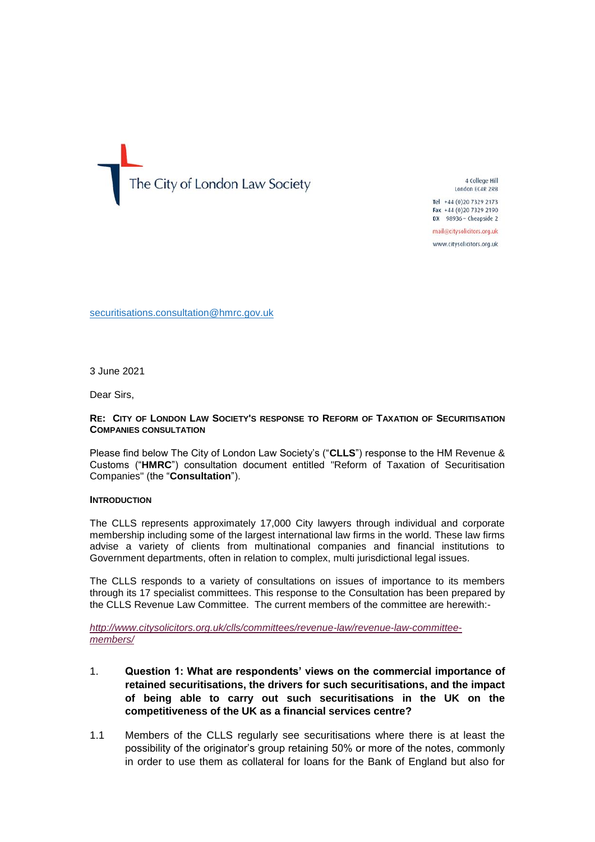

4 College Hill London EC4R 2RB

Tel +44 (0) 20 7329 2173 Fax +44 (0)20 7329 2190 DX 98936 - Cheapside 2

mail@citysolicitors.org.uk

www.citysolicitors.org.uk

securitisations.consultation@hmrc.gov.uk

3 June 2021

Dear Sirs,

### **RE: CITY OF LONDON LAW SOCIETY'S RESPONSE TO REFORM OF TAXATION OF SECURITISATION COMPANIES CONSULTATION**

Please find below The City of London Law Society's ("**CLLS**") response to the HM Revenue & Customs ("**HMRC**") consultation document entitled "Reform of Taxation of Securitisation Companies" (the "**Consultation**").

#### **INTRODUCTION**

The CLLS represents approximately 17,000 City lawyers through individual and corporate membership including some of the largest international law firms in the world. These law firms advise a variety of clients from multinational companies and financial institutions to Government departments, often in relation to complex, multi jurisdictional legal issues.

The CLLS responds to a variety of consultations on issues of importance to its members through its 17 specialist committees. This response to the Consultation has been prepared by the CLLS Revenue Law Committee. The current members of the committee are herewith:-

*[http://www.citysolicitors.org.uk/clls/committees/revenue-law/revenue-law-committee](http://www.citysolicitors.org.uk/clls/committees/revenue-law/revenue-law-committee-members/)[members/](http://www.citysolicitors.org.uk/clls/committees/revenue-law/revenue-law-committee-members/)*

- 1. **Question 1: What are respondents' views on the commercial importance of retained securitisations, the drivers for such securitisations, and the impact of being able to carry out such securitisations in the UK on the competitiveness of the UK as a financial services centre?**
- 1.1 Members of the CLLS regularly see securitisations where there is at least the possibility of the originator's group retaining 50% or more of the notes, commonly in order to use them as collateral for loans for the Bank of England but also for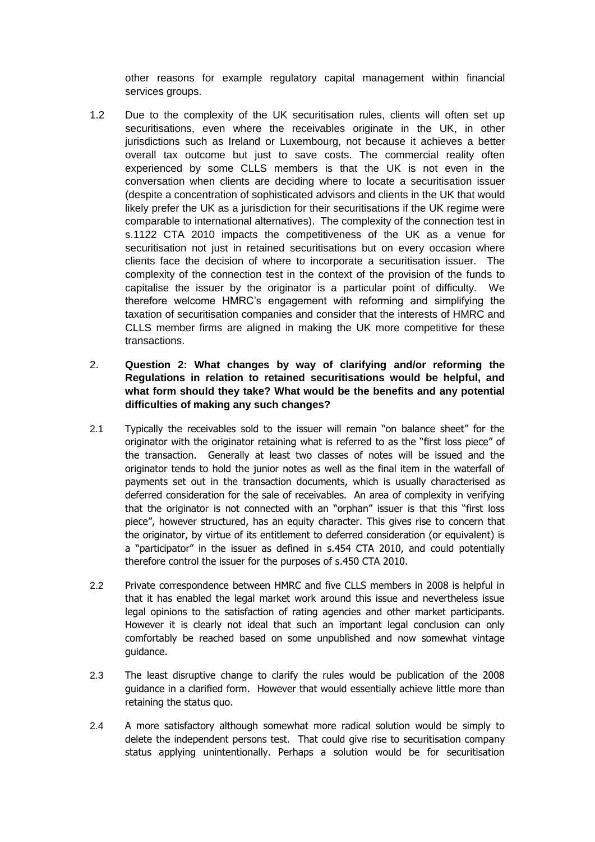other reasons for example regulatory capital management within financial services groups.

- 1.2 Due to the complexity of the UK securitisation rules, clients will often set up securitisations, even where the receivables originate in the UK, in other jurisdictions such as Ireland or Luxembourg, not because it achieves a better overall tax outcome but just to save costs. The commercial reality often experienced by some CLLS members is that the UK is not even in the conversation when clients are deciding where to locate a securitisation issuer (despite a concentration of sophisticated advisors and clients in the UK that would likely prefer the UK as a jurisdiction for their securitisations if the UK regime were comparable to international alternatives). The complexity of the connection test in s.1122 CTA 2010 impacts the competitiveness of the UK as a venue for securitisation not just in retained securitisations but on every occasion where clients face the decision of where to incorporate a securitisation issuer. The complexity of the connection test in the context of the provision of the funds to capitalise the issuer by the originator is a particular point of difficulty. We therefore welcome HMRC's engagement with reforming and simplifying the taxation of securitisation companies and consider that the interests of HMRC and CLLS member firms are aligned in making the UK more competitive for these transactions.
- 2. **Question 2: What changes by way of clarifying and/or reforming the Regulations in relation to retained securitisations would be helpful, and what form should they take? What would be the benefits and any potential difficulties of making any such changes?**
- 2.1 Typically the receivables sold to the issuer will remain "on balance sheet" for the originator with the originator retaining what is referred to as the "first loss piece" of the transaction. Generally at least two classes of notes will be issued and the originator tends to hold the junior notes as well as the final item in the waterfall of payments set out in the transaction documents, which is usually characterised as deferred consideration for the sale of receivables. An area of complexity in verifying that the originator is not connected with an "orphan" issuer is that this "first loss piece", however structured, has an equity character. This gives rise to concern that the originator, by virtue of its entitlement to deferred consideration (or equivalent) is a "participator" in the issuer as defined in s.454 CTA 2010, and could potentially therefore control the issuer for the purposes of s.450 CTA 2010.
- 2.2 Private correspondence between HMRC and five CLLS members in 2008 is helpful in that it has enabled the legal market work around this issue and nevertheless issue legal opinions to the satisfaction of rating agencies and other market participants. However it is clearly not ideal that such an important legal conclusion can only comfortably be reached based on some unpublished and now somewhat vintage guidance.
- 2.3 The least disruptive change to clarify the rules would be publication of the 2008 guidance in a clarified form. However that would essentially achieve little more than retaining the status quo.
- 2.4 A more satisfactory although somewhat more radical solution would be simply to delete the independent persons test. That could give rise to securitisation company status applying unintentionally. Perhaps a solution would be for securitisation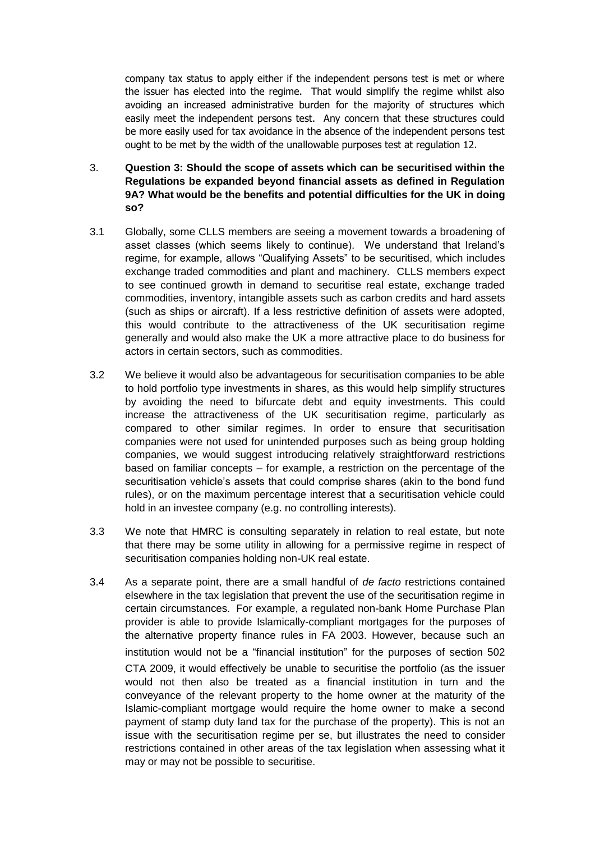company tax status to apply either if the independent persons test is met or where the issuer has elected into the regime. That would simplify the regime whilst also avoiding an increased administrative burden for the majority of structures which easily meet the independent persons test. Any concern that these structures could be more easily used for tax avoidance in the absence of the independent persons test ought to be met by the width of the unallowable purposes test at regulation 12.

- 3. **Question 3: Should the scope of assets which can be securitised within the Regulations be expanded beyond financial assets as defined in Regulation 9A? What would be the benefits and potential difficulties for the UK in doing so?**
- 3.1 Globally, some CLLS members are seeing a movement towards a broadening of asset classes (which seems likely to continue). We understand that Ireland's regime, for example, allows "Qualifying Assets" to be securitised, which includes exchange traded commodities and plant and machinery. CLLS members expect to see continued growth in demand to securitise real estate, exchange traded commodities, inventory, intangible assets such as carbon credits and hard assets (such as ships or aircraft). If a less restrictive definition of assets were adopted, this would contribute to the attractiveness of the UK securitisation regime generally and would also make the UK a more attractive place to do business for actors in certain sectors, such as commodities.
- 3.2 We believe it would also be advantageous for securitisation companies to be able to hold portfolio type investments in shares, as this would help simplify structures by avoiding the need to bifurcate debt and equity investments. This could increase the attractiveness of the UK securitisation regime, particularly as compared to other similar regimes. In order to ensure that securitisation companies were not used for unintended purposes such as being group holding companies, we would suggest introducing relatively straightforward restrictions based on familiar concepts – for example, a restriction on the percentage of the securitisation vehicle's assets that could comprise shares (akin to the bond fund rules), or on the maximum percentage interest that a securitisation vehicle could hold in an investee company (e.g. no controlling interests).
- 3.3 We note that HMRC is consulting separately in relation to real estate, but note that there may be some utility in allowing for a permissive regime in respect of securitisation companies holding non-UK real estate.
- 3.4 As a separate point, there are a small handful of *de facto* restrictions contained elsewhere in the tax legislation that prevent the use of the securitisation regime in certain circumstances. For example, a regulated non-bank Home Purchase Plan provider is able to provide Islamically-compliant mortgages for the purposes of the alternative property finance rules in FA 2003. However, because such an institution would not be a "financial institution" for the purposes of section 502 CTA 2009, it would effectively be unable to securitise the portfolio (as the issuer would not then also be treated as a financial institution in turn and the conveyance of the relevant property to the home owner at the maturity of the Islamic-compliant mortgage would require the home owner to make a second payment of stamp duty land tax for the purchase of the property). This is not an issue with the securitisation regime per se, but illustrates the need to consider restrictions contained in other areas of the tax legislation when assessing what it may or may not be possible to securitise.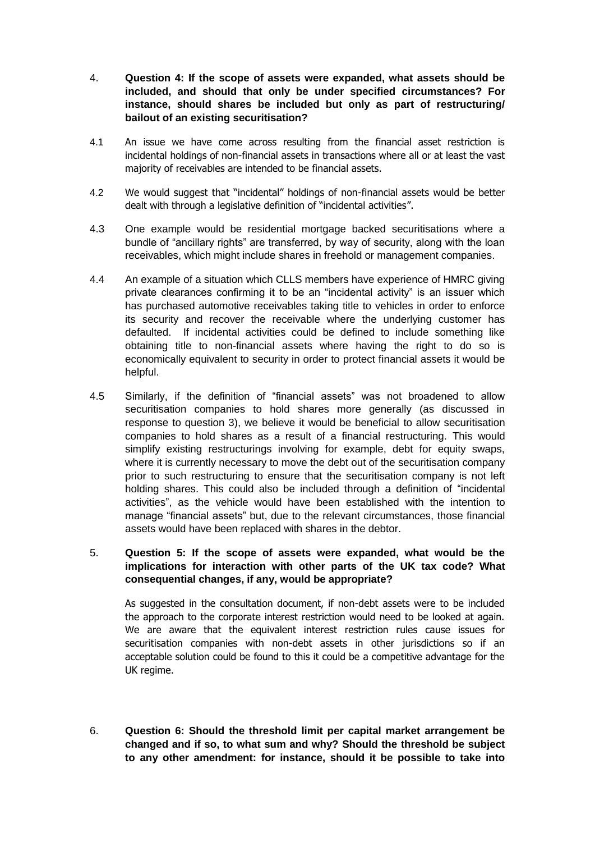- 4. **Question 4: If the scope of assets were expanded, what assets should be included, and should that only be under specified circumstances? For instance, should shares be included but only as part of restructuring/ bailout of an existing securitisation?**
- 4.1 An issue we have come across resulting from the financial asset restriction is incidental holdings of non-financial assets in transactions where all or at least the vast majority of receivables are intended to be financial assets.
- 4.2 We would suggest that "incidental" holdings of non-financial assets would be better dealt with through a legislative definition of "incidental activities".
- 4.3 One example would be residential mortgage backed securitisations where a bundle of "ancillary rights" are transferred, by way of security, along with the loan receivables, which might include shares in freehold or management companies.
- 4.4 An example of a situation which CLLS members have experience of HMRC giving private clearances confirming it to be an "incidental activity" is an issuer which has purchased automotive receivables taking title to vehicles in order to enforce its security and recover the receivable where the underlying customer has defaulted. If incidental activities could be defined to include something like obtaining title to non-financial assets where having the right to do so is economically equivalent to security in order to protect financial assets it would be helpful.
- 4.5 Similarly, if the definition of "financial assets" was not broadened to allow securitisation companies to hold shares more generally (as discussed in response to question 3), we believe it would be beneficial to allow securitisation companies to hold shares as a result of a financial restructuring. This would simplify existing restructurings involving for example, debt for equity swaps, where it is currently necessary to move the debt out of the securitisation company prior to such restructuring to ensure that the securitisation company is not left holding shares. This could also be included through a definition of "incidental activities", as the vehicle would have been established with the intention to manage "financial assets" but, due to the relevant circumstances, those financial assets would have been replaced with shares in the debtor.
- 5. **Question 5: If the scope of assets were expanded, what would be the implications for interaction with other parts of the UK tax code? What consequential changes, if any, would be appropriate?**

As suggested in the consultation document, if non-debt assets were to be included the approach to the corporate interest restriction would need to be looked at again. We are aware that the equivalent interest restriction rules cause issues for securitisation companies with non-debt assets in other jurisdictions so if an acceptable solution could be found to this it could be a competitive advantage for the UK regime.

6. **Question 6: Should the threshold limit per capital market arrangement be changed and if so, to what sum and why? Should the threshold be subject to any other amendment: for instance, should it be possible to take into**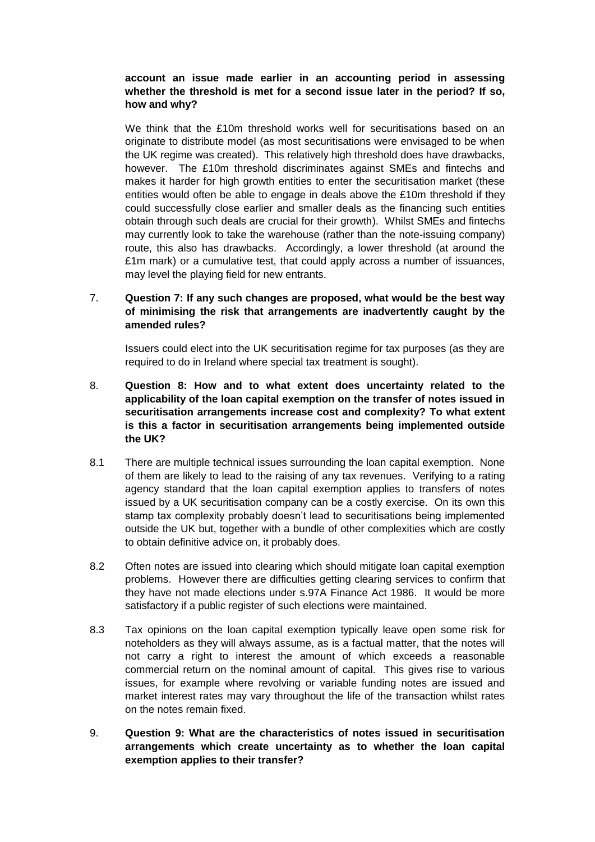# **account an issue made earlier in an accounting period in assessing whether the threshold is met for a second issue later in the period? If so, how and why?**

We think that the £10m threshold works well for securitisations based on an originate to distribute model (as most securitisations were envisaged to be when the UK regime was created). This relatively high threshold does have drawbacks, however. The £10m threshold discriminates against SMEs and fintechs and makes it harder for high growth entities to enter the securitisation market (these entities would often be able to engage in deals above the £10m threshold if they could successfully close earlier and smaller deals as the financing such entities obtain through such deals are crucial for their growth). Whilst SMEs and fintechs may currently look to take the warehouse (rather than the note-issuing company) route, this also has drawbacks. Accordingly, a lower threshold (at around the £1m mark) or a cumulative test, that could apply across a number of issuances, may level the playing field for new entrants.

## 7. **Question 7: If any such changes are proposed, what would be the best way of minimising the risk that arrangements are inadvertently caught by the amended rules?**

Issuers could elect into the UK securitisation regime for tax purposes (as they are required to do in Ireland where special tax treatment is sought).

- 8. **Question 8: How and to what extent does uncertainty related to the applicability of the loan capital exemption on the transfer of notes issued in securitisation arrangements increase cost and complexity? To what extent is this a factor in securitisation arrangements being implemented outside the UK?**
- 8.1 There are multiple technical issues surrounding the loan capital exemption. None of them are likely to lead to the raising of any tax revenues. Verifying to a rating agency standard that the loan capital exemption applies to transfers of notes issued by a UK securitisation company can be a costly exercise. On its own this stamp tax complexity probably doesn't lead to securitisations being implemented outside the UK but, together with a bundle of other complexities which are costly to obtain definitive advice on, it probably does.
- 8.2 Often notes are issued into clearing which should mitigate loan capital exemption problems. However there are difficulties getting clearing services to confirm that they have not made elections under s.97A Finance Act 1986. It would be more satisfactory if a public register of such elections were maintained.
- 8.3 Tax opinions on the loan capital exemption typically leave open some risk for noteholders as they will always assume, as is a factual matter, that the notes will not carry a right to interest the amount of which exceeds a reasonable commercial return on the nominal amount of capital. This gives rise to various issues, for example where revolving or variable funding notes are issued and market interest rates may vary throughout the life of the transaction whilst rates on the notes remain fixed.
- 9. **Question 9: What are the characteristics of notes issued in securitisation arrangements which create uncertainty as to whether the loan capital exemption applies to their transfer?**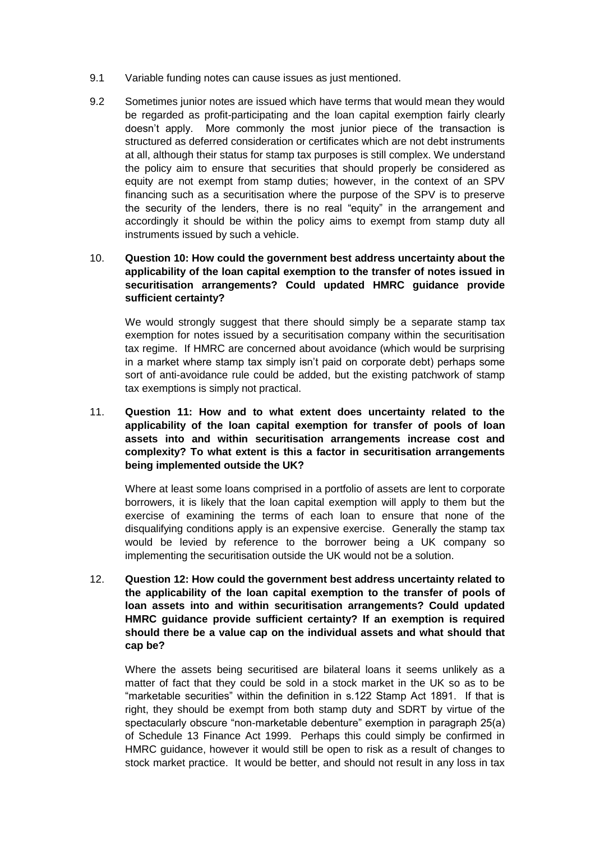- 9.1 Variable funding notes can cause issues as just mentioned.
- 9.2 Sometimes junior notes are issued which have terms that would mean they would be regarded as profit-participating and the loan capital exemption fairly clearly doesn't apply. More commonly the most junior piece of the transaction is structured as deferred consideration or certificates which are not debt instruments at all, although their status for stamp tax purposes is still complex. We understand the policy aim to ensure that securities that should properly be considered as equity are not exempt from stamp duties; however, in the context of an SPV financing such as a securitisation where the purpose of the SPV is to preserve the security of the lenders, there is no real "equity" in the arrangement and accordingly it should be within the policy aims to exempt from stamp duty all instruments issued by such a vehicle.

# 10. **Question 10: How could the government best address uncertainty about the applicability of the loan capital exemption to the transfer of notes issued in securitisation arrangements? Could updated HMRC guidance provide sufficient certainty?**

We would strongly suggest that there should simply be a separate stamp tax exemption for notes issued by a securitisation company within the securitisation tax regime. If HMRC are concerned about avoidance (which would be surprising in a market where stamp tax simply isn't paid on corporate debt) perhaps some sort of anti-avoidance rule could be added, but the existing patchwork of stamp tax exemptions is simply not practical.

11. **Question 11: How and to what extent does uncertainty related to the applicability of the loan capital exemption for transfer of pools of loan assets into and within securitisation arrangements increase cost and complexity? To what extent is this a factor in securitisation arrangements being implemented outside the UK?** 

Where at least some loans comprised in a portfolio of assets are lent to corporate borrowers, it is likely that the loan capital exemption will apply to them but the exercise of examining the terms of each loan to ensure that none of the disqualifying conditions apply is an expensive exercise. Generally the stamp tax would be levied by reference to the borrower being a UK company so implementing the securitisation outside the UK would not be a solution.

12. **Question 12: How could the government best address uncertainty related to the applicability of the loan capital exemption to the transfer of pools of loan assets into and within securitisation arrangements? Could updated HMRC guidance provide sufficient certainty? If an exemption is required should there be a value cap on the individual assets and what should that cap be?** 

Where the assets being securitised are bilateral loans it seems unlikely as a matter of fact that they could be sold in a stock market in the UK so as to be "marketable securities" within the definition in s.122 Stamp Act 1891. If that is right, they should be exempt from both stamp duty and SDRT by virtue of the spectacularly obscure "non-marketable debenture" exemption in paragraph 25(a) of Schedule 13 Finance Act 1999. Perhaps this could simply be confirmed in HMRC guidance, however it would still be open to risk as a result of changes to stock market practice. It would be better, and should not result in any loss in tax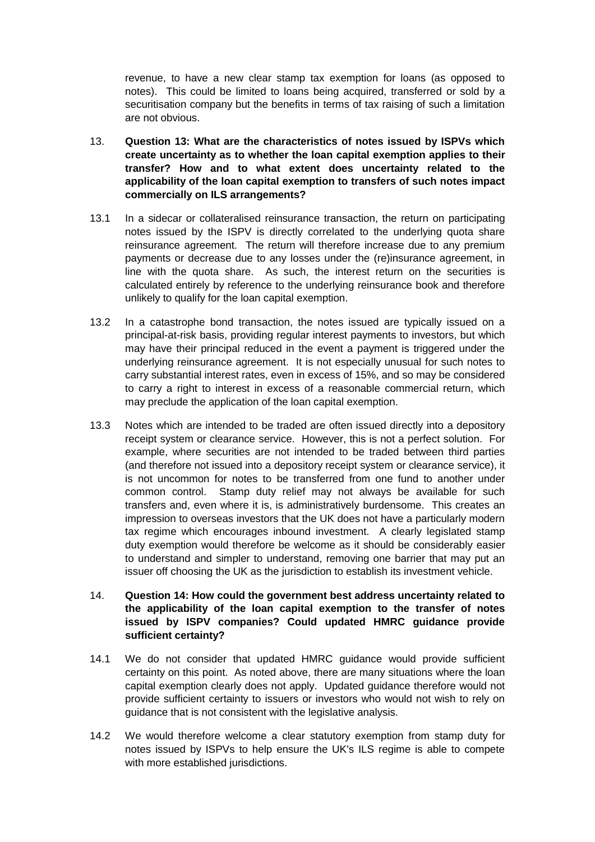revenue, to have a new clear stamp tax exemption for loans (as opposed to notes). This could be limited to loans being acquired, transferred or sold by a securitisation company but the benefits in terms of tax raising of such a limitation are not obvious.

- 13. **Question 13: What are the characteristics of notes issued by ISPVs which create uncertainty as to whether the loan capital exemption applies to their transfer? How and to what extent does uncertainty related to the applicability of the loan capital exemption to transfers of such notes impact commercially on ILS arrangements?**
- 13.1 In a sidecar or collateralised reinsurance transaction, the return on participating notes issued by the ISPV is directly correlated to the underlying quota share reinsurance agreement. The return will therefore increase due to any premium payments or decrease due to any losses under the (re)insurance agreement, in line with the quota share. As such, the interest return on the securities is calculated entirely by reference to the underlying reinsurance book and therefore unlikely to qualify for the loan capital exemption.
- 13.2 In a catastrophe bond transaction, the notes issued are typically issued on a principal-at-risk basis, providing regular interest payments to investors, but which may have their principal reduced in the event a payment is triggered under the underlying reinsurance agreement. It is not especially unusual for such notes to carry substantial interest rates, even in excess of 15%, and so may be considered to carry a right to interest in excess of a reasonable commercial return, which may preclude the application of the loan capital exemption.
- 13.3 Notes which are intended to be traded are often issued directly into a depository receipt system or clearance service. However, this is not a perfect solution. For example, where securities are not intended to be traded between third parties (and therefore not issued into a depository receipt system or clearance service), it is not uncommon for notes to be transferred from one fund to another under common control. Stamp duty relief may not always be available for such transfers and, even where it is, is administratively burdensome. This creates an impression to overseas investors that the UK does not have a particularly modern tax regime which encourages inbound investment. A clearly legislated stamp duty exemption would therefore be welcome as it should be considerably easier to understand and simpler to understand, removing one barrier that may put an issuer off choosing the UK as the jurisdiction to establish its investment vehicle.
- 14. **Question 14: How could the government best address uncertainty related to the applicability of the loan capital exemption to the transfer of notes issued by ISPV companies? Could updated HMRC guidance provide sufficient certainty?**
- 14.1 We do not consider that updated HMRC guidance would provide sufficient certainty on this point. As noted above, there are many situations where the loan capital exemption clearly does not apply. Updated guidance therefore would not provide sufficient certainty to issuers or investors who would not wish to rely on guidance that is not consistent with the legislative analysis.
- 14.2 We would therefore welcome a clear statutory exemption from stamp duty for notes issued by ISPVs to help ensure the UK's ILS regime is able to compete with more established jurisdictions.